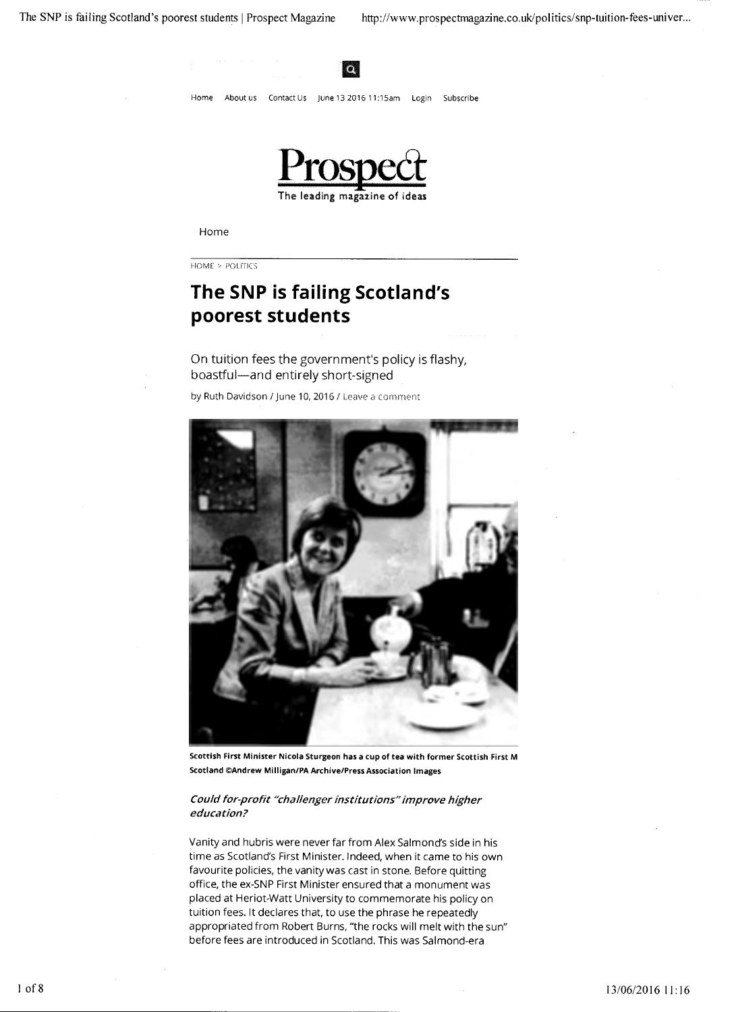

### Home

HOME > POLITICS

# **The SNP is failing Scotland's poorest students**

# On tuition fees the government's policy is flashy, boastful-and entirely short-signed

by Ruth Davidson / June 10, 2016 / Leave a comment



Scottish First Minister Nicola Sturgeon has a cup of tea with former Scottish First M Scotland ©Andrew Milligan/PA Archive/Press Association Images

## Could for-profit "challenger institutions" improve higher education?

Vanity and hubris were never far from Alex Salmond's side in his time as Scotland's First Minister. Indeed, when it came to his own favourite policies, the vanity was cast in stone. Before quitting office, the ex-SNP First Minister ensured that a monument was placed at Heriot-Watt University to commemorate his policy on tuition fees. It declares that, to use the phrase he repeatedly appropriated from Robert Burns, "the rocks will melt with the sun" before fees are introduced in Scotland. This was Salmond-era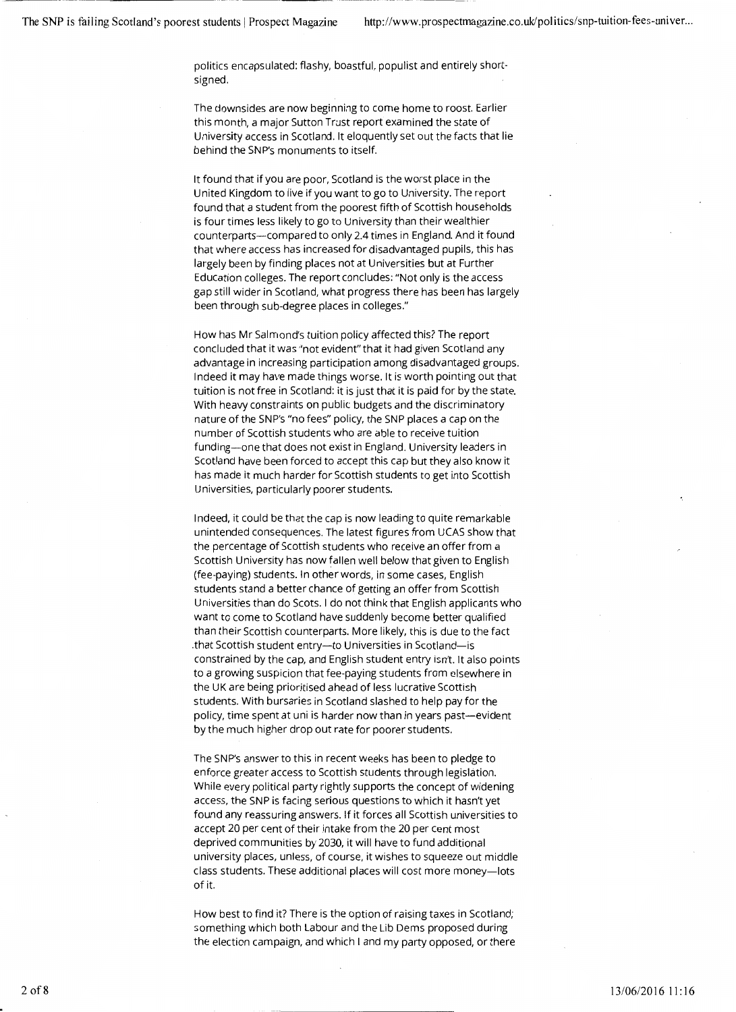politics encapsulated: flashy, boastful, populist and entirely shortsigned.

The downsides are now beginning to come home to roost. Earlier this month, a major Sutton Trust report examined the state of University access in Scotland. It eloquently set out the facts that lie behind the SNP's monuments to itself.

It found that if you are poor, Scotland is the worst place in the United Kingdom to live if you want to go to University. The report found that a student from the poorest fifth of Scottish households is four times less likely to go to University than their wealthier counterparts-compared to only 2.4 times in England. And it found that where access has increased for disadvantaged pupils, this has largely been by finding places not at Universities but at Further Education colleges. The report concludes: "Not only is the access gap still wider in Scotland, what progress there has been has largely been through sub-degree places in colleges."

How has Mr Salmond's tuition policy affected this? The report concluded that it was "not evident" that it had given Scotland any advantage in increasing participation among disadvantaged groups. Indeed it may have made things worse. It is worth pointing out that tuition is not free in Scotland: it is just that it is paid for by the state. With heavy constraints on public budgets and the discriminatory nature of the SNP's "no fees" policy, the SNP places a cap on the number of Scottish students who are able to receive tuition funding-one that does not exist in England. University leaders in Scotland have been forced to accept this cap but they also know it has made it much harder for Scottish students to get into Scottish Universities, particularly poorer students.

Indeed, it could be that the cap is now leading to quite remarkable unintended consequences. The latest figures from UCAS show that the percentage of Scottish students who receive an offer from a Scottish University has now fallen well below that given to English (fee-paying) students. In other words, in some cases, English students stand a better chance of getting an offer from Scottish Universities than do Scots. I do not think that English applicants who want to come to Scotland have suddenly become better qualified than their Scottish counterparts. More likely, this is due to the fact that Scottish student entry-to Universities in Scotland-is constrained by the cap, and English student entry isn't. It also points to a growing suspicion that fee-paying students from elsewhere in the UK are being prioritised ahead of less lucrative Scottish students. With bursaries in Scotland slashed to help pay for the policy, time spent at uni is harder now than in years past-evident by the much higher drop out rate for poorer students.

The SNP's answer to this in recent weeks has been to pledge to enforce greater access to Scottish students through legislation. While every political party rightly supports the concept of widening access, the SNP is facing serious questions to which it hasn't yet found any reassuring answers. If it forces all Scottish universities to accept 20 per cent of their intake from the 20 per cent most deprived communities by 2030, it will have to fund additional university places, unless, of course, it wishes to squeeze out middle class students. These additional places will cost more money-lots of it.

How best to find it? There is the option of raising taxes in Scotland; something which both Labour and the Lib Dems proposed during the election campaign, and which I and my party opposed, or there